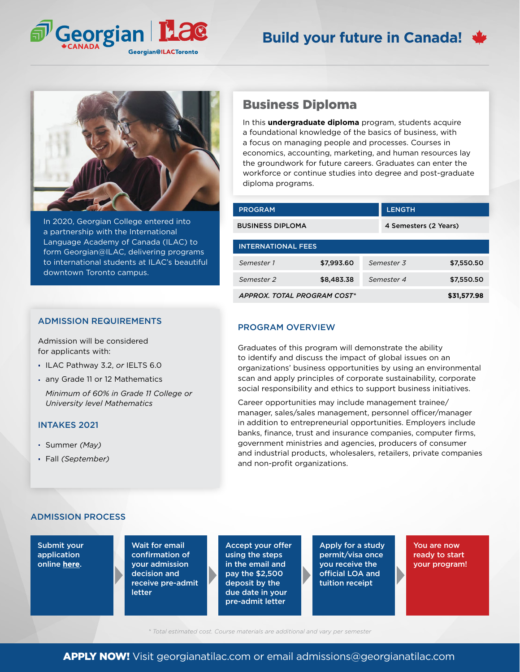

# **Build your future in Canada!**



In 2020, Georgian College entered into a partnership with the International Language Academy of Canada (ILAC) to form Georgian@ILAC, delivering programs to international students at ILAC's beautiful downtown Toronto campus.

#### ADMISSION REQUIREMENTS

Admission will be considered for applicants with:

- ILAC Pathway 3.2, *or* IELTS 6.0
- any Grade 11 or 12 Mathematics
- *Minimum of 60% in Grade 11 College or University level Mathematics*

### INTAKES 2021

- Summer *(May)*
- Fall *(September)*

## Business Diploma

In this **undergraduate diploma** program, students acquire a foundational knowledge of the basics of business, with a focus on managing people and processes. Courses in economics, accounting, marketing, and human resources lay the groundwork for future careers. Graduates can enter the workforce or continue studies into degree and post-graduate diploma programs.

| <b>PROGRAM</b>              |            |  | <b>LENGTH</b>         |            |  |  |
|-----------------------------|------------|--|-----------------------|------------|--|--|
| <b>BUSINESS DIPLOMA</b>     |            |  | 4 Semesters (2 Years) |            |  |  |
| <b>INTERNATIONAL FEES</b>   |            |  |                       |            |  |  |
| Semester 1                  | \$7,993.60 |  | Semester 3            | \$7,550.50 |  |  |
| Semester <sub>2</sub>       | \$8,483.38 |  | Semester 4            | \$7,550.50 |  |  |
| APPROX. TOTAL PROGRAM COST* |            |  | \$31,577.98           |            |  |  |

### PROGRAM OVERVIEW

Graduates of this program will demonstrate the ability to identify and discuss the impact of global issues on an organizations' business opportunities by using an environmental scan and apply principles of corporate sustainability, corporate social responsibility and ethics to support business initiatives.

Career opportunities may include management trainee/ manager, sales/sales management, personnel officer/manager in addition to entrepreneurial opportunities. Employers include banks, finance, trust and insurance companies, computer firms, government ministries and agencies, producers of consumer and industrial products, wholesalers, retailers, private companies and non-profit organizations.

### ADMISSION PROCESS

Submit your application online **[here](georgianatilac.com/international-student-application/)**.

Wait for email confirmation of your admission decision and receive pre-admit letter

Accept your offer using the steps in the email and pay the \$2,500 deposit by the due date in your pre-admit letter

Apply for a study permit/visa once you receive the official LOA and tuition receipt

You are now ready to start your program!

*\* Total estimated cost. Course materials are additional and vary per semester*